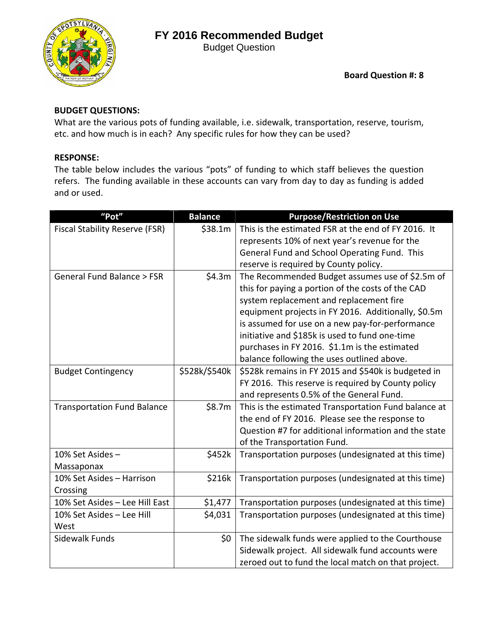

Budget Question

**Board Question #: 8**

### **BUDGET QUESTIONS:**

What are the various pots of funding available, i.e. sidewalk, transportation, reserve, tourism, etc. and how much is in each? Any specific rules for how they can be used?

### **RESPONSE:**

The table below includes the various "pots" of funding to which staff believes the question refers. The funding available in these accounts can vary from day to day as funding is added and or used.

| "Pot"                                 | <b>Balance</b> | <b>Purpose/Restriction on Use</b>                    |
|---------------------------------------|----------------|------------------------------------------------------|
| <b>Fiscal Stability Reserve (FSR)</b> | \$38.1m        | This is the estimated FSR at the end of FY 2016. It  |
|                                       |                | represents 10% of next year's revenue for the        |
|                                       |                | General Fund and School Operating Fund. This         |
|                                       |                | reserve is required by County policy.                |
| General Fund Balance > FSR            | \$4.3m         | The Recommended Budget assumes use of \$2.5m of      |
|                                       |                | this for paying a portion of the costs of the CAD    |
|                                       |                | system replacement and replacement fire              |
|                                       |                | equipment projects in FY 2016. Additionally, \$0.5m  |
|                                       |                | is assumed for use on a new pay-for-performance      |
|                                       |                | initiative and \$185k is used to fund one-time       |
|                                       |                | purchases in FY 2016. \$1.1m is the estimated        |
|                                       |                | balance following the uses outlined above.           |
| <b>Budget Contingency</b>             | \$528k/\$540k  | \$528k remains in FY 2015 and \$540k is budgeted in  |
|                                       |                | FY 2016. This reserve is required by County policy   |
|                                       |                | and represents 0.5% of the General Fund.             |
| <b>Transportation Fund Balance</b>    | \$8.7m         | This is the estimated Transportation Fund balance at |
|                                       |                | the end of FY 2016. Please see the response to       |
|                                       |                | Question #7 for additional information and the state |
|                                       |                | of the Transportation Fund.                          |
| 10% Set Asides -                      | \$452k         | Transportation purposes (undesignated at this time)  |
| Massaponax                            |                |                                                      |
| 10% Set Asides - Harrison             | \$216k         | Transportation purposes (undesignated at this time)  |
| Crossing                              |                |                                                      |
| 10% Set Asides - Lee Hill East        | \$1,477        | Transportation purposes (undesignated at this time)  |
| 10% Set Asides - Lee Hill             | \$4,031        | Transportation purposes (undesignated at this time)  |
| West                                  |                |                                                      |
| Sidewalk Funds                        | \$0\$          | The sidewalk funds were applied to the Courthouse    |
|                                       |                | Sidewalk project. All sidewalk fund accounts were    |
|                                       |                | zeroed out to fund the local match on that project.  |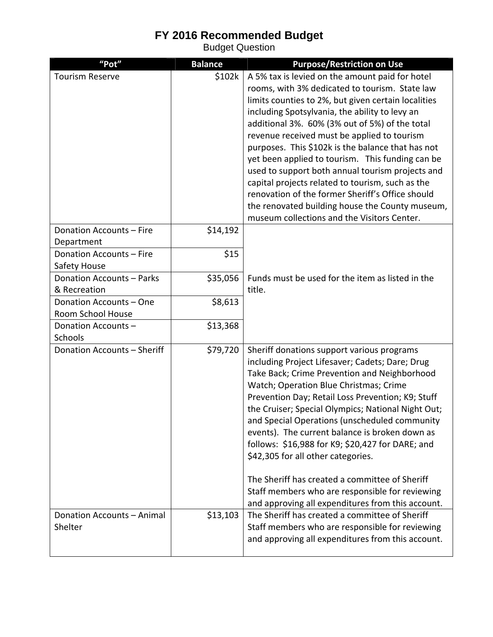Budget Question

| "Pot"                                   | <b>Balance</b> | <b>Purpose/Restriction on Use</b>                   |
|-----------------------------------------|----------------|-----------------------------------------------------|
| <b>Tourism Reserve</b>                  | \$102k         | A 5% tax is levied on the amount paid for hotel     |
|                                         |                | rooms, with 3% dedicated to tourism. State law      |
|                                         |                | limits counties to 2%, but given certain localities |
|                                         |                | including Spotsylvania, the ability to levy an      |
|                                         |                | additional 3%. 60% (3% out of 5%) of the total      |
|                                         |                | revenue received must be applied to tourism         |
|                                         |                | purposes. This \$102k is the balance that has not   |
|                                         |                | yet been applied to tourism. This funding can be    |
|                                         |                | used to support both annual tourism projects and    |
|                                         |                | capital projects related to tourism, such as the    |
|                                         |                | renovation of the former Sheriff's Office should    |
|                                         |                | the renovated building house the County museum,     |
|                                         |                | museum collections and the Visitors Center.         |
| Donation Accounts - Fire                | \$14,192       |                                                     |
| Department                              |                |                                                     |
| Donation Accounts - Fire                | \$15           |                                                     |
| Safety House                            |                |                                                     |
| Donation Accounts - Parks               | \$35,056       | Funds must be used for the item as listed in the    |
| & Recreation                            |                | title.                                              |
| Donation Accounts - One                 | \$8,613        |                                                     |
| Room School House<br>Donation Accounts- | \$13,368       |                                                     |
| Schools                                 |                |                                                     |
| Donation Accounts - Sheriff             | \$79,720       | Sheriff donations support various programs          |
|                                         |                | including Project Lifesaver; Cadets; Dare; Drug     |
|                                         |                | Take Back; Crime Prevention and Neighborhood        |
|                                         |                | Watch; Operation Blue Christmas; Crime              |
|                                         |                | Prevention Day; Retail Loss Prevention; K9; Stuff   |
|                                         |                | the Cruiser; Special Olympics; National Night Out;  |
|                                         |                | and Special Operations (unscheduled community       |
|                                         |                | events). The current balance is broken down as      |
|                                         |                | follows: \$16,988 for K9; \$20,427 for DARE; and    |
|                                         |                | \$42,305 for all other categories.                  |
|                                         |                |                                                     |
|                                         |                | The Sheriff has created a committee of Sheriff      |
|                                         |                | Staff members who are responsible for reviewing     |
|                                         |                | and approving all expenditures from this account.   |
| Donation Accounts - Animal              | \$13,103       | The Sheriff has created a committee of Sheriff      |
| Shelter                                 |                | Staff members who are responsible for reviewing     |
|                                         |                | and approving all expenditures from this account.   |
|                                         |                |                                                     |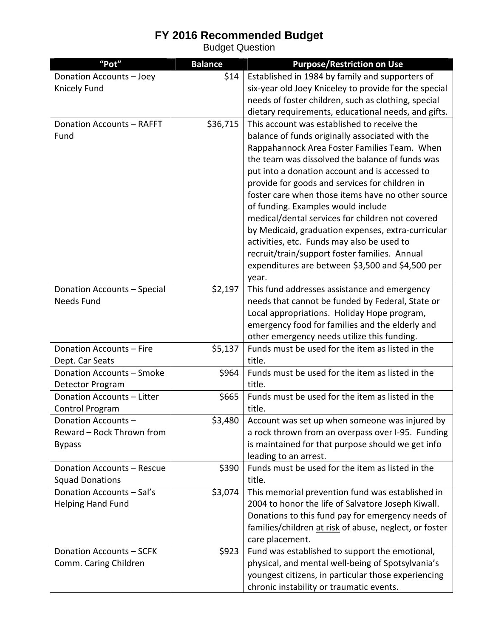Budget Question

| "Pot"                                            | <b>Balance</b> | <b>Purpose/Restriction on Use</b>                                                                   |
|--------------------------------------------------|----------------|-----------------------------------------------------------------------------------------------------|
| Donation Accounts - Joey                         | \$14           | Established in 1984 by family and supporters of                                                     |
| Knicely Fund                                     |                | six-year old Joey Kniceley to provide for the special                                               |
|                                                  |                | needs of foster children, such as clothing, special                                                 |
|                                                  |                | dietary requirements, educational needs, and gifts.                                                 |
| Donation Accounts - RAFFT                        | \$36,715       | This account was established to receive the                                                         |
| Fund                                             |                | balance of funds originally associated with the                                                     |
|                                                  |                | Rappahannock Area Foster Families Team. When                                                        |
|                                                  |                | the team was dissolved the balance of funds was                                                     |
|                                                  |                | put into a donation account and is accessed to                                                      |
|                                                  |                | provide for goods and services for children in                                                      |
|                                                  |                | foster care when those items have no other source                                                   |
|                                                  |                | of funding. Examples would include<br>medical/dental services for children not covered              |
|                                                  |                | by Medicaid, graduation expenses, extra-curricular                                                  |
|                                                  |                | activities, etc. Funds may also be used to                                                          |
|                                                  |                | recruit/train/support foster families. Annual                                                       |
|                                                  |                | expenditures are between \$3,500 and \$4,500 per                                                    |
|                                                  |                | year.                                                                                               |
| Donation Accounts - Special                      | \$2,197        | This fund addresses assistance and emergency                                                        |
| <b>Needs Fund</b>                                |                | needs that cannot be funded by Federal, State or                                                    |
|                                                  |                | Local appropriations. Holiday Hope program,                                                         |
|                                                  |                | emergency food for families and the elderly and                                                     |
|                                                  |                | other emergency needs utilize this funding.                                                         |
| Donation Accounts - Fire                         | \$5,137        | Funds must be used for the item as listed in the                                                    |
| Dept. Car Seats                                  |                | title.                                                                                              |
| Donation Accounts - Smoke                        | \$964          | Funds must be used for the item as listed in the                                                    |
| Detector Program                                 |                | title.                                                                                              |
| Donation Accounts - Litter                       | \$665          | Funds must be used for the item as listed in the                                                    |
| Control Program                                  |                | title.                                                                                              |
| Donation Accounts -<br>Reward - Rock Thrown from | \$3,480        | Account was set up when someone was injured by<br>a rock thrown from an overpass over I-95. Funding |
| <b>Bypass</b>                                    |                | is maintained for that purpose should we get info                                                   |
|                                                  |                | leading to an arrest.                                                                               |
| Donation Accounts - Rescue                       | \$390          | Funds must be used for the item as listed in the                                                    |
| <b>Squad Donations</b>                           |                | title.                                                                                              |
| Donation Accounts - Sal's                        | \$3,074        | This memorial prevention fund was established in                                                    |
| <b>Helping Hand Fund</b>                         |                | 2004 to honor the life of Salvatore Joseph Kiwall.                                                  |
|                                                  |                | Donations to this fund pay for emergency needs of                                                   |
|                                                  |                | families/children at risk of abuse, neglect, or foster                                              |
|                                                  |                | care placement.                                                                                     |
| Donation Accounts - SCFK                         | \$923          | Fund was established to support the emotional,                                                      |
| Comm. Caring Children                            |                | physical, and mental well-being of Spotsylvania's                                                   |
|                                                  |                | youngest citizens, in particular those experiencing                                                 |
|                                                  |                | chronic instability or traumatic events.                                                            |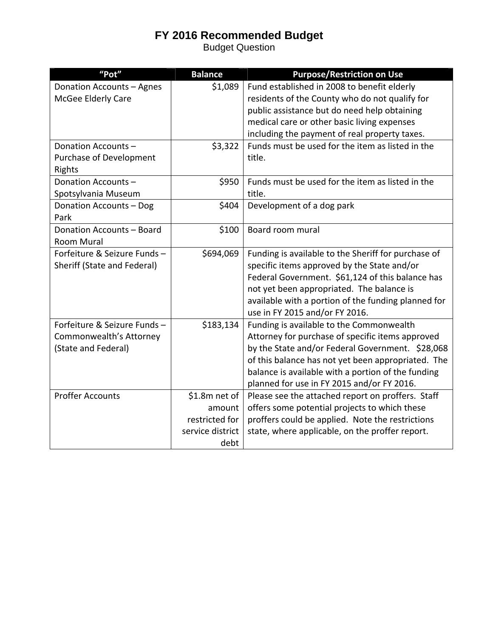Budget Question

| "Pot"                       | <b>Balance</b>   | <b>Purpose/Restriction on Use</b>                   |
|-----------------------------|------------------|-----------------------------------------------------|
| Donation Accounts - Agnes   | \$1,089          | Fund established in 2008 to benefit elderly         |
| McGee Elderly Care          |                  | residents of the County who do not qualify for      |
|                             |                  | public assistance but do need help obtaining        |
|                             |                  | medical care or other basic living expenses         |
|                             |                  | including the payment of real property taxes.       |
| Donation Accounts-          | \$3,322          | Funds must be used for the item as listed in the    |
| Purchase of Development     |                  | title.                                              |
| Rights                      |                  |                                                     |
| Donation Accounts-          | \$950            | Funds must be used for the item as listed in the    |
| Spotsylvania Museum         |                  | title.                                              |
| Donation Accounts - Dog     | \$404            | Development of a dog park                           |
| Park                        |                  |                                                     |
| Donation Accounts - Board   | \$100            | Board room mural                                    |
| Room Mural                  |                  |                                                     |
| Forfeiture & Seizure Funds- | \$694,069        | Funding is available to the Sheriff for purchase of |
| Sheriff (State and Federal) |                  | specific items approved by the State and/or         |
|                             |                  | Federal Government. \$61,124 of this balance has    |
|                             |                  | not yet been appropriated. The balance is           |
|                             |                  | available with a portion of the funding planned for |
|                             |                  | use in FY 2015 and/or FY 2016.                      |
| Forfeiture & Seizure Funds- | \$183,134        | Funding is available to the Commonwealth            |
| Commonwealth's Attorney     |                  | Attorney for purchase of specific items approved    |
| (State and Federal)         |                  | by the State and/or Federal Government. \$28,068    |
|                             |                  | of this balance has not yet been appropriated. The  |
|                             |                  | balance is available with a portion of the funding  |
|                             |                  | planned for use in FY 2015 and/or FY 2016.          |
| <b>Proffer Accounts</b>     | \$1.8m net of    | Please see the attached report on proffers. Staff   |
|                             | amount           | offers some potential projects to which these       |
|                             | restricted for   | proffers could be applied. Note the restrictions    |
|                             | service district | state, where applicable, on the proffer report.     |
|                             | debt             |                                                     |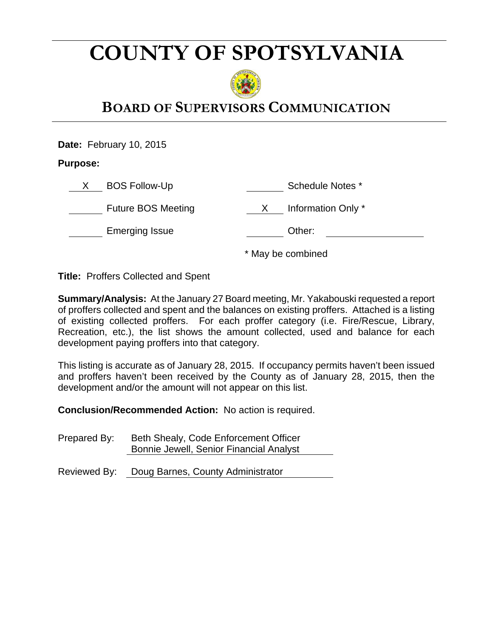# **COUNTY OF SPOTSYLVANIA**



# **BOARD OF SUPERVISORS COMMUNICATION**

**Date:** February 10, 2015

**Purpose:** 

| <b>BOS Follow-Up</b>      | Schedule Notes *   |  |
|---------------------------|--------------------|--|
| <b>Future BOS Meeting</b> | Information Only * |  |
| <b>Emerging Issue</b>     | Other:             |  |

\* May be combined

**Title:** Proffers Collected and Spent

**Summary/Analysis:** At the January 27 Board meeting, Mr. Yakabouski requested a report of proffers collected and spent and the balances on existing proffers. Attached is a listing of existing collected proffers. For each proffer category (i.e. Fire/Rescue, Library, Recreation, etc.), the list shows the amount collected, used and balance for each development paying proffers into that category.

This listing is accurate as of January 28, 2015. If occupancy permits haven't been issued and proffers haven't been received by the County as of January 28, 2015, then the development and/or the amount will not appear on this list.

**Conclusion/Recommended Action:** No action is required.

Prepared By: Beth Shealy, Code Enforcement Officer Bonnie Jewell, Senior Financial Analyst

Reviewed By: Doug Barnes, County Administrator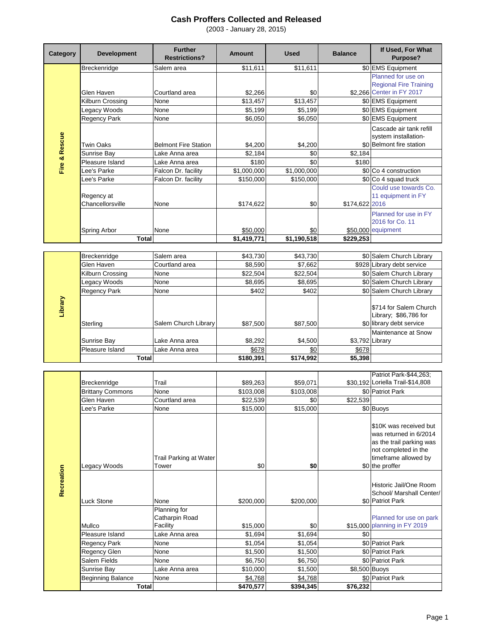| Category      | <b>Development</b>              | <b>Further</b><br><b>Restrictions?</b>        | <b>Amount</b>      | <b>Used</b>          | <b>Balance</b> | If Used, For What<br>Purpose?                                                                                                |
|---------------|---------------------------------|-----------------------------------------------|--------------------|----------------------|----------------|------------------------------------------------------------------------------------------------------------------------------|
|               | Breckenridge                    | Salem area                                    | \$11,611           | \$11,611             |                | \$0 EMS Equipment                                                                                                            |
| Fire & Rescue |                                 |                                               |                    |                      |                | Planned for use on                                                                                                           |
|               |                                 |                                               |                    |                      |                | <b>Regional Fire Training</b>                                                                                                |
|               | Glen Haven                      | Courtland area                                | \$2,266            | \$0                  |                | \$2,266 Center in FY 2017                                                                                                    |
|               | Kilburn Crossing                | None                                          | \$13,457           | $\overline{$13,457}$ |                | \$0 EMS Equipment                                                                                                            |
|               | Legacy Woods                    | None                                          | \$5,199            | \$5,199              |                | \$0 EMS Equipment                                                                                                            |
|               | Regency Park                    | None                                          | \$6,050            | \$6,050              |                | \$0 EMS Equipment                                                                                                            |
|               |                                 |                                               |                    |                      |                | Cascade air tank refill                                                                                                      |
|               |                                 |                                               |                    |                      |                | system installation-<br>\$0 Belmont fire station                                                                             |
|               | <b>Twin Oaks</b><br>Sunrise Bay | <b>Belmont Fire Station</b><br>Lake Anna area | \$4,200<br>\$2.184 | \$4,200<br>\$0       | \$2,184        |                                                                                                                              |
|               | Pleasure Island                 | Lake Anna area                                | \$180              | \$0                  | \$180          |                                                                                                                              |
|               | Lee's Parke                     | Falcon Dr. facility                           | \$1,000,000        | \$1,000,000          |                | \$0 Co 4 construction                                                                                                        |
|               | Lee's Parke                     | Falcon Dr. facility                           | \$150,000          | \$150,000            |                | \$0 Co 4 squad truck                                                                                                         |
|               |                                 |                                               |                    |                      |                | Could use towards Co.                                                                                                        |
|               | Regency at                      |                                               |                    |                      |                | 11 equipment in FY                                                                                                           |
|               | Chancellorsville                | None                                          | \$174,622          | \$0                  | \$174,622 2016 |                                                                                                                              |
|               |                                 |                                               |                    |                      |                | Planned for use in FY                                                                                                        |
|               |                                 |                                               |                    |                      |                | 2016 for Co. 11                                                                                                              |
|               | Spring Arbor                    | None                                          | \$50,000           | \$0                  |                | \$50,000 equipment                                                                                                           |
|               | <b>Total</b>                    |                                               | \$1,419,771        | \$1,190,518          | \$229,253      |                                                                                                                              |
|               |                                 |                                               |                    |                      |                |                                                                                                                              |
|               | Breckenridge                    | Salem area                                    | \$43,730           | \$43,730             |                | \$0 Salem Church Library                                                                                                     |
|               | Glen Haven                      | Courtland area                                | \$8,590            | \$7,662              |                | \$928 Library debt service                                                                                                   |
|               | Kilburn Crossing                | None                                          | \$22,504           | \$22,504             |                | \$0 Salem Church Library                                                                                                     |
|               | Legacy Woods                    | None                                          | \$8,695            | \$8,695              |                | \$0 Salem Church Library                                                                                                     |
|               | Regency Park                    | None                                          | \$402              | \$402                |                | \$0 Salem Church Library                                                                                                     |
| Library       | Sterling                        | Salem Church Library                          | \$87,500           | \$87,500             |                | \$714 for Salem Church<br>Library; \$86,786 for<br>\$0 library debt service                                                  |
|               |                                 |                                               |                    |                      |                | Maintenance at Snow                                                                                                          |
|               | Sunrise Bay                     | Lake Anna area                                | \$8,292            | \$4,500              |                | \$3,792 Library                                                                                                              |
|               | Pleasure Island                 | Lake Anna area                                | \$678              | \$0                  | \$678          |                                                                                                                              |
|               | <b>Total</b>                    |                                               | \$180,391          | \$174,992            | \$5,398        |                                                                                                                              |
|               |                                 |                                               |                    |                      |                |                                                                                                                              |
|               |                                 |                                               |                    |                      |                | Patriot Park-\$44,263;                                                                                                       |
|               | Breckenridge                    | Trail                                         | \$89,263           | \$59,071             |                | \$30,192 Loriella Trail-\$14,808                                                                                             |
|               | <b>Brittany Commons</b>         | None                                          | \$103,008          | \$103,008            |                | \$0 Patriot Park                                                                                                             |
|               | Glen Haven                      | Courtland area                                | \$22,539           | \$0                  | \$22,539       |                                                                                                                              |
|               | Lee's Parke                     | None                                          | \$15,000           | \$15,000             |                | \$0 Buoys                                                                                                                    |
|               |                                 | Trail Parking at Water                        |                    |                      |                | \$10K was received but<br>was returned in 6/2014<br>as the trail parking was<br>not completed in the<br>timeframe allowed by |

|            |                          | Trail Parking at Water |           |           |               | not completed in the<br>timeframe allowed by       |
|------------|--------------------------|------------------------|-----------|-----------|---------------|----------------------------------------------------|
|            | Legacy Woods             | Tower                  | \$0       | \$0       |               | \$0 the proffer                                    |
| Recreation |                          |                        |           |           |               | Historic Jail/One Room<br>School/ Marshall Center/ |
|            | Luck Stone               | None<br>Planning for   | \$200,000 | \$200,000 |               | \$0 Patriot Park                                   |
|            |                          | Catharpin Road         |           |           |               | Planned for use on park                            |
|            | Mullco                   | Facility               | \$15,000  | \$0       |               | \$15,000 planning in FY 2019                       |
|            | Pleasure Island          | Lake Anna area         | \$1,694   | \$1,694   | \$0           |                                                    |
|            | <b>Regency Park</b>      | None                   | \$1,054   | \$1,054   |               | \$0 Patriot Park                                   |
|            | <b>Regency Glen</b>      | None                   | \$1,500   | \$1,500   |               | \$0 Patriot Park                                   |
|            | Salem Fields             | None                   | \$6,750   | \$6,750   |               | \$0 Patriot Park                                   |
|            | Sunrise Bay              | Lake Anna area         | \$10,000  | \$1,500   | \$8,500 Buoys |                                                    |
|            | <b>Beginning Balance</b> | None                   | \$4,768   | \$4,768   |               | \$0 Patriot Park                                   |
|            | Total                    |                        | \$470,577 | \$394.345 | \$76,232      |                                                    |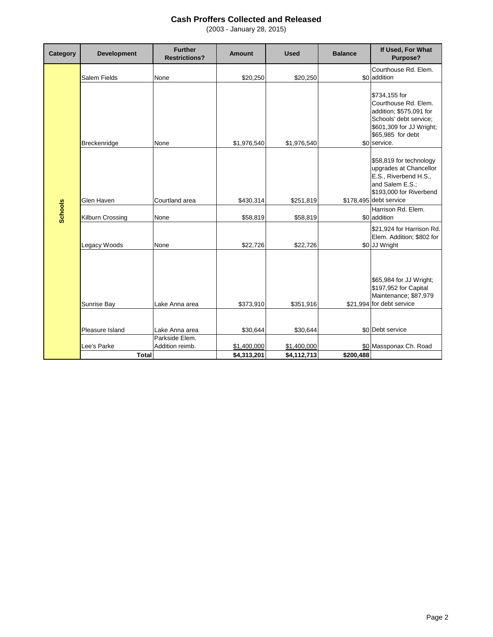| Category       | <b>Development</b> | <b>Further</b><br><b>Restrictions?</b> | <b>Amount</b> | <b>Used</b> | <b>Balance</b> | If Used, For What<br>Purpose?                                                                                                                               |
|----------------|--------------------|----------------------------------------|---------------|-------------|----------------|-------------------------------------------------------------------------------------------------------------------------------------------------------------|
|                |                    |                                        |               |             |                | Courthouse Rd. Elem.                                                                                                                                        |
|                | Salem Fields       | None                                   | \$20,250      | \$20,250    |                | \$0 addition                                                                                                                                                |
|                | Breckenridge       | None                                   | \$1,976,540   | \$1,976,540 |                | \$734,155 for<br>Courthouse Rd. Elem.<br>addition; \$575,091 for<br>Schools' debt service;<br>\$601,309 for JJ Wright;<br>\$65,985 for debt<br>\$0 service. |
|                | Glen Haven         | Courtland area                         | \$430,314     | \$251,819   |                | \$58,819 for technology<br>upgrades at Chancellor<br>E.S., Riverbend H.S.,<br>and Salem E.S.;<br>\$193,000 for Riverbend<br>\$178,495 debt service          |
| <b>Schools</b> | Kilburn Crossing   | None                                   | \$58,819      | \$58,819    |                | Harrison Rd. Elem.<br>\$0 addition                                                                                                                          |
|                | Legacy Woods       | None                                   | \$22,726      | \$22,726    |                | \$21,924 for Harrison Rd.<br>Elem. Addition; \$802 for<br>\$0 JJ Wright                                                                                     |
|                | Sunrise Bay        | Lake Anna area                         | \$373,910     | \$351,916   |                | \$65,984 for JJ Wright;<br>\$197,952 for Capital<br>Maintenance; \$87,979<br>\$21,994 for debt service                                                      |
|                | Pleasure Island    | Lake Anna area                         | \$30,644      | \$30,644    |                | \$0 Debt service                                                                                                                                            |
|                |                    | Parkside Elem.                         |               |             |                |                                                                                                                                                             |
|                | Lee's Parke        | Addition reimb.                        | \$1,400,000   | \$1,400,000 |                | \$0 Massponax Ch. Road                                                                                                                                      |
|                | <b>Total</b>       |                                        | \$4,313,201   | \$4,112,713 | \$200.488      |                                                                                                                                                             |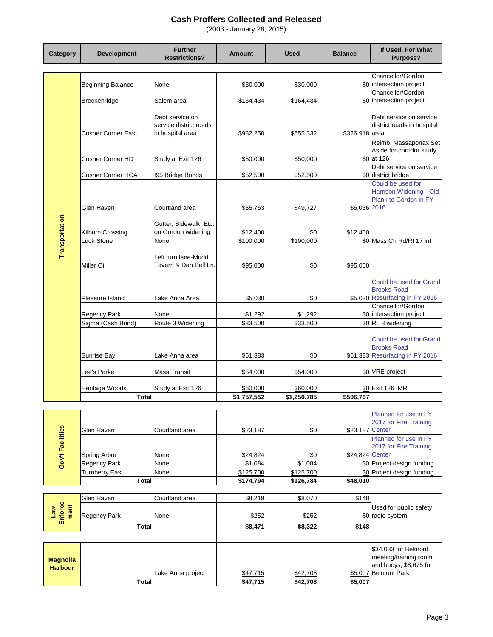| Category                       | <b>Development</b>                | <b>Further</b><br><b>Restrictions?</b>       | Amount              | <b>Used</b>         | <b>Balance</b>  | If Used, For What<br><b>Purpose?</b>            |
|--------------------------------|-----------------------------------|----------------------------------------------|---------------------|---------------------|-----------------|-------------------------------------------------|
|                                |                                   |                                              |                     |                     |                 |                                                 |
|                                |                                   |                                              |                     |                     |                 | Chancellor/Gordon                               |
|                                | <b>Beginning Balance</b>          | None                                         | \$30,000            | \$30,000            |                 | \$0 intersection project<br>Chancellor/Gordon   |
|                                | Breckenridge                      | Salem area                                   | \$164,434           | \$164,434           |                 | \$0 intersection project                        |
|                                |                                   |                                              |                     |                     |                 |                                                 |
|                                |                                   | Debt service on                              |                     |                     |                 | Debt service on service                         |
|                                |                                   | service district roads                       |                     |                     |                 | district roads in hospital                      |
|                                | Cosner Corner East                | in hospital area                             | \$982,250           | \$655,332           | \$326,918 area  |                                                 |
|                                |                                   |                                              |                     |                     |                 | Reimb. Massaponax Set                           |
|                                | Cosner Corner HD                  | Study at Exit 126                            | \$50,000            | \$50,000            |                 | Aside for corridor study<br>\$0 at 126          |
|                                |                                   |                                              |                     |                     |                 | Debt service on service                         |
|                                | Cosner Corner HCA                 | 195 Bridge Bonds                             | \$52,500            | \$52,500            |                 | \$0 district bridge                             |
|                                |                                   |                                              |                     |                     |                 | Could be used for                               |
|                                |                                   |                                              |                     |                     |                 | Harrison Widening - Old                         |
|                                | Glen Haven                        | Courtland area                               | \$55.763            | \$49.727            | \$6,036 2016    | Plank to Gordon in FY                           |
|                                |                                   |                                              |                     |                     |                 |                                                 |
|                                |                                   | Gutter, Sidewalk, Etc.                       |                     |                     |                 |                                                 |
|                                | Kilburn Crossing                  | on Gordon widening                           | \$12,400            | \$0                 | \$12,400        |                                                 |
| Transportation                 | Luck Stone                        | None                                         | \$100,000           | \$100,000           |                 | \$0 Mass Ch Rd/Rt 17 int                        |
|                                |                                   |                                              |                     |                     |                 |                                                 |
|                                | Miller Oil                        | Left turn lane-Mudd<br>Tavern & Dan Bell Ln. | \$95,000            | \$0                 | \$95.000        |                                                 |
|                                |                                   |                                              |                     |                     |                 |                                                 |
|                                |                                   |                                              |                     |                     |                 | Could be used for Grand                         |
|                                |                                   |                                              |                     |                     |                 | <b>Brooks Road</b>                              |
|                                | Pleasure Island                   | Lake Anna Area                               | \$5,030             | \$0                 |                 | \$5,030 Resurfacing in FY 2016                  |
|                                |                                   | None                                         |                     |                     |                 | Chancellor/Gordon<br>\$0 intersection project   |
|                                | Regency Park<br>Sigma (Cash Bond) | Route 3 Widening                             | \$1,292<br>\$33,500 | \$1,292<br>\$33,500 |                 | \$0 Rt. 3 widening                              |
|                                |                                   |                                              |                     |                     |                 |                                                 |
|                                |                                   |                                              |                     |                     |                 | Could be used for Grand                         |
|                                |                                   |                                              |                     |                     |                 | <b>Brooks Road</b>                              |
|                                | Sunrise Bay                       | Lake Anna area                               | \$61,383            | \$0                 |                 | \$61,383 Resurfacing in FY 2016                 |
|                                | Lee's Parke                       | Mass Transit                                 | \$54,000            | \$54,000            |                 | \$0 VRE project                                 |
|                                |                                   |                                              |                     |                     |                 |                                                 |
|                                | Heritage Woods                    | Study at Exit 126                            | \$60,000            | \$60,000            |                 | \$0 Exit 126 IMR                                |
|                                | Total                             |                                              | \$1,757,552         | \$1,250,785         | \$506,767       |                                                 |
|                                |                                   |                                              |                     |                     |                 |                                                 |
|                                |                                   |                                              |                     |                     |                 | Planned for use in FY<br>2017 for Fire Training |
|                                | Glen Haven                        | Courtland area                               | \$23,187            | \$0                 | \$23,187 Center |                                                 |
|                                |                                   |                                              |                     |                     |                 | Planned for use in FY                           |
|                                |                                   |                                              |                     |                     |                 | 2017 for Fire Training                          |
| Gov't Facilities               | Spring Arbor                      | None                                         | \$24,824            | \$0                 | \$24,824 Center |                                                 |
|                                | Regency Park                      | None                                         | \$1,084             | \$1,084             |                 | \$0 Project design funding                      |
|                                | <b>Turnberry East</b>             | None                                         | \$125,700           | \$125,700           | \$48,010        | \$0 Project design funding                      |
|                                | Total                             |                                              | \$174,794           | \$126,784           |                 |                                                 |
|                                | Glen Haven                        | Courtland area                               | \$8,219             | \$8,070             | \$148           |                                                 |
|                                |                                   |                                              |                     |                     |                 | Used for public safety                          |
| Enforce-<br>ment<br><b>Law</b> | <b>Regency Park</b>               | None                                         | \$252               | \$252               |                 | \$0 radio system                                |
|                                | <b>Total</b>                      |                                              | \$8,471             | \$8,322             | \$148           |                                                 |
|                                |                                   |                                              |                     |                     |                 |                                                 |
|                                |                                   |                                              |                     |                     |                 | \$34,033 for Belmont                            |
| <b>Magnolia</b>                |                                   |                                              |                     |                     |                 | meeting/training room                           |
| <b>Harbour</b>                 |                                   |                                              |                     |                     |                 | and buoys; \$8,675 for                          |
|                                |                                   | Lake Anna project                            | \$47,715            | \$42,708            | \$5,007         | <b>Belmont Park</b>                             |
|                                | <b>Total</b>                      |                                              | \$47,715            | \$42,708            | \$5,007         |                                                 |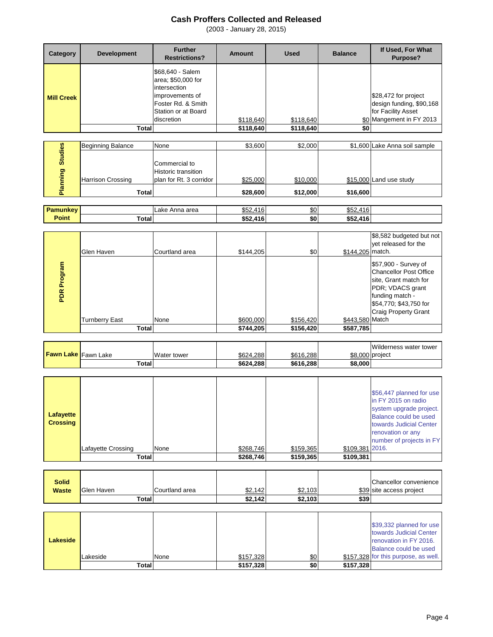| Category          | <b>Development</b> | <b>Further</b><br><b>Restrictions?</b>                                                                                               | <b>Amount</b> | <b>Used</b> | <b>Balance</b> | If Used, For What<br>Purpose?                                                                      |
|-------------------|--------------------|--------------------------------------------------------------------------------------------------------------------------------------|---------------|-------------|----------------|----------------------------------------------------------------------------------------------------|
| <b>Mill Creek</b> |                    | \$68,640 - Salem<br>area; \$50,000 for<br>intersection<br>improvements of<br>Foster Rd. & Smith<br>Station or at Board<br>discretion | \$118,640     | \$118,640   |                | \$28,472 for project<br>design funding, \$90,168<br>for Facility Asset<br>\$0 Mangement in FY 2013 |
|                   | Total              |                                                                                                                                      | \$118,640     | \$118,640   | \$0            |                                                                                                    |

| es     | <b>Beginning Balance</b> | None                                                            | \$3,600  | \$2,000  |          | \$1,600 Lake Anna soil sample |
|--------|--------------------------|-----------------------------------------------------------------|----------|----------|----------|-------------------------------|
| ö<br>ဥ | <b>Harrison Crossing</b> | Commercial to<br>Historic transition<br>plan for Rt. 3 corridor | \$25,000 | \$10,000 |          | \$15,000 Land use study       |
| w      | Total                    |                                                                 | \$28,600 | \$12,000 | \$16,600 |                               |

| Pamunkev |       | Anna area<br>∟аке | ^-^<br>416<br>ے ت⊕                                                                                     | \$0 | $P - P$<br>.<br>JOZ.<br>. .             |  |
|----------|-------|-------------------|--------------------------------------------------------------------------------------------------------|-----|-----------------------------------------|--|
| Point    | otal` |                   | $\begin{array}{c} \bullet \textcolor{red}{\mathbf{r}} \textcolor{red}{\mathbf{r}} \end{array}$<br>.416 | \$0 | ぐらつ<br>$\overline{110}$<br>⊕J∡<br>2 I V |  |

|                | Glen Haven            | Courtland area | \$144,205 | \$0       | \$144,205 match. | \$8,582 budgeted but not<br>vet released for the                                                                                                                               |
|----------------|-----------------------|----------------|-----------|-----------|------------------|--------------------------------------------------------------------------------------------------------------------------------------------------------------------------------|
| Program<br>PDR |                       |                |           |           |                  | \$57,900 - Survey of<br><b>Chancellor Post Office</b><br>site, Grant match for<br>PDR; VDACS grant<br>funding match -<br>\$54,770; \$43,750 for<br><b>Craig Property Grant</b> |
|                | <b>Turnberry East</b> | None           | \$600,000 | \$156,420 | \$443,580 Match  |                                                                                                                                                                                |
|                | Total                 |                | \$744,205 | \$156,420 | \$587,785        |                                                                                                                                                                                |

|                            |       |             |           |           |                 | Wilderness water tower |
|----------------------------|-------|-------------|-----------|-----------|-----------------|------------------------|
| <b>Fawn Lake</b> Fawn Lake |       | Water tower | \$624.288 | \$616.288 | \$8,000 project |                        |
|                            | Total |             | \$624.288 | \$616.288 | \$8,000         |                        |

|  | Lafayette<br><b>Crossing</b> | Lafayette Crossing<br>Total | None | \$268,746<br>\$268,746 | \$159,365<br>\$159,365 | \$109,381 2016.<br>\$109,381 | \$56,447 planned for use<br>in FY 2015 on radio<br>system upgrade project.<br>Balance could be used<br>towards Judicial Center<br>renovation or any<br>number of projects in FY |
|--|------------------------------|-----------------------------|------|------------------------|------------------------|------------------------------|---------------------------------------------------------------------------------------------------------------------------------------------------------------------------------|
|--|------------------------------|-----------------------------|------|------------------------|------------------------|------------------------------|---------------------------------------------------------------------------------------------------------------------------------------------------------------------------------|

| <b>Solid</b> |                   |                |         |         |      | Chancellor convenience   |
|--------------|-------------------|----------------|---------|---------|------|--------------------------|
| <b>Waste</b> | <b>Glen Haven</b> | Courtland area | \$2,142 | \$2,103 |      | \$39 site access project |
|              | Total             |                | \$2,142 | \$2,103 | \$39 |                          |

|                 | Total    |      | \$157,328 | \$0        | \$157,328 |                                      |
|-----------------|----------|------|-----------|------------|-----------|--------------------------------------|
|                 | Lakeside | None | \$157,328 | <u>\$0</u> |           | \$157,328 for this purpose, as well. |
|                 |          |      |           |            |           | Balance could be used                |
| <b>Lakeside</b> |          |      |           |            |           | renovation in FY 2016.               |
|                 |          |      |           |            |           | towards Judicial Center              |
|                 |          |      |           |            |           | \$39,332 planned for use             |
|                 |          |      |           |            |           |                                      |